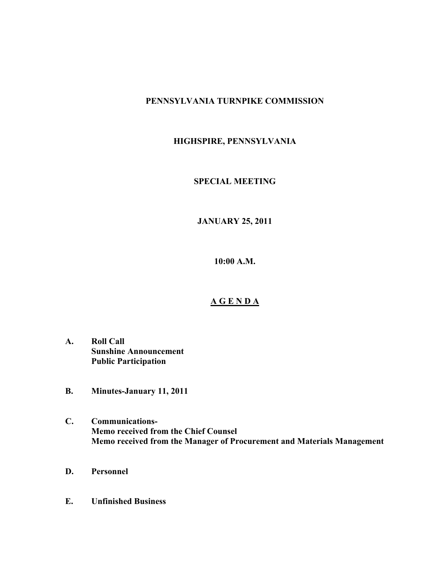### **PENNSYLVANIA TURNPIKE COMMISSION**

# **HIGHSPIRE, PENNSYLVANIA**

#### **SPECIAL MEETING**

## **JANUARY 25, 2011**

**10:00 A.M.**

#### **A G E N D A**

- **A. Roll Call Sunshine Announcement Public Participation**
- **B. Minutes-January 11, 2011**
- **C. Communications-Memo received from the Chief Counsel Memo received from the Manager of Procurement and Materials Management**
- **D. Personnel**
- **E. Unfinished Business**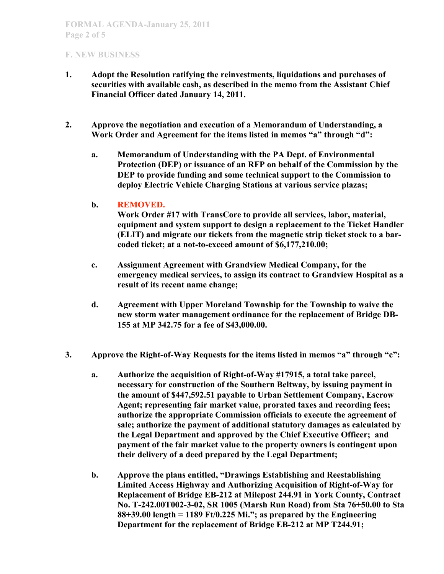- **1. Adopt the Resolution ratifying the reinvestments, liquidations and purchases of securities with available cash, as described in the memo from the Assistant Chief Financial Officer dated January 14, 2011.**
- **2. Approve the negotiation and execution of a Memorandum of Understanding, a Work Order and Agreement for the items listed in memos "a" through "d":**
	- **a. Memorandum of Understanding with the PA Dept. of Environmental Protection (DEP) or issuance of an RFP on behalf of the Commission by the DEP to provide funding and some technical support to the Commission to deploy Electric Vehicle Charging Stations at various service plazas;**

#### **b. REMOVED.**

**Work Order #17 with TransCore to provide all services, labor, material, equipment and system support to design a replacement to the Ticket Handler (ELIT) and migrate our tickets from the magnetic strip ticket stock to a barcoded ticket; at a not-to-exceed amount of \$6,177,210.00;**

- **c. Assignment Agreement with Grandview Medical Company, for the emergency medical services, to assign its contract to Grandview Hospital as a result of its recent name change;**
- **d. Agreement with Upper Moreland Township for the Township to waive the new storm water management ordinance for the replacement of Bridge DB-155 at MP 342.75 for a fee of \$43,000.00.**
- **3. Approve the Right-of-Way Requests for the items listed in memos "a" through "c":**
	- **a. Authorize the acquisition of Right-of-Way #17915, a total take parcel, necessary for construction of the Southern Beltway, by issuing payment in the amount of \$447,592.51 payable to Urban Settlement Company, Escrow Agent; representing fair market value, prorated taxes and recording fees; authorize the appropriate Commission officials to execute the agreement of sale; authorize the payment of additional statutory damages as calculated by the Legal Department and approved by the Chief Executive Officer; and payment of the fair market value to the property owners is contingent upon their delivery of a deed prepared by the Legal Department;**
	- **b. Approve the plans entitled, "Drawings Establishing and Reestablishing Limited Access Highway and Authorizing Acquisition of Right-of-Way for Replacement of Bridge EB-212 at Milepost 244.91 in York County, Contract No. T-242.00T002-3-02, SR 1005 (Marsh Run Road) from Sta 76+50.00 to Sta 88+39.00 length = 1189 Ft/0.225 Mi."; as prepared by the Engineering Department for the replacement of Bridge EB-212 at MP T244.91;**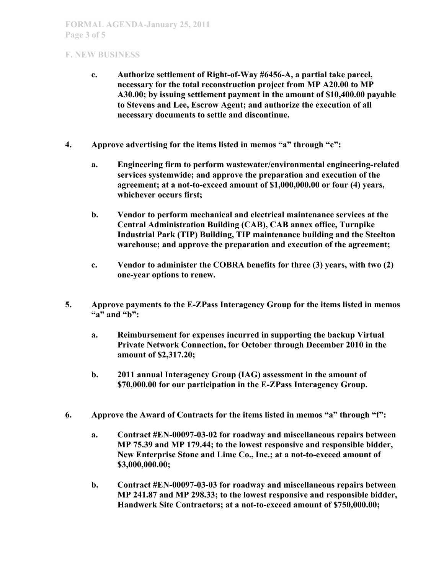- **c. Authorize settlement of Right-of-Way #6456-A, a partial take parcel, necessary for the total reconstruction project from MP A20.00 to MP A30.00; by issuing settlement payment in the amount of \$10,400.00 payable to Stevens and Lee, Escrow Agent; and authorize the execution of all necessary documents to settle and discontinue.**
- **4. Approve advertising for the items listed in memos "a" through "c":**
	- **a. Engineering firm to perform wastewater/environmental engineering-related services systemwide; and approve the preparation and execution of the agreement; at a not-to-exceed amount of \$1,000,000.00 or four (4) years, whichever occurs first;**
	- **b. Vendor to perform mechanical and electrical maintenance services at the Central Administration Building (CAB), CAB annex office, Turnpike Industrial Park (TIP) Building, TIP maintenance building and the Steelton warehouse; and approve the preparation and execution of the agreement;**
	- **c. Vendor to administer the COBRA benefits for three (3) years, with two (2) one-year options to renew.**
- **5. Approve payments to the E-ZPass Interagency Group for the items listed in memos "a" and "b":**
	- **a. Reimbursement for expenses incurred in supporting the backup Virtual Private Network Connection, for October through December 2010 in the amount of \$2,317.20;**
	- **b. 2011 annual Interagency Group (IAG) assessment in the amount of \$70,000.00 for our participation in the E-ZPass Interagency Group.**
- **6. Approve the Award of Contracts for the items listed in memos "a" through "f":**
	- **a. Contract #EN-00097-03-02 for roadway and miscellaneous repairs between MP 75.39 and MP 179.44; to the lowest responsive and responsible bidder, New Enterprise Stone and Lime Co., Inc.; at a not-to-exceed amount of \$3,000,000.00;**
	- **b. Contract #EN-00097-03-03 for roadway and miscellaneous repairs between MP 241.87 and MP 298.33; to the lowest responsive and responsible bidder, Handwerk Site Contractors; at a not-to-exceed amount of \$750,000.00;**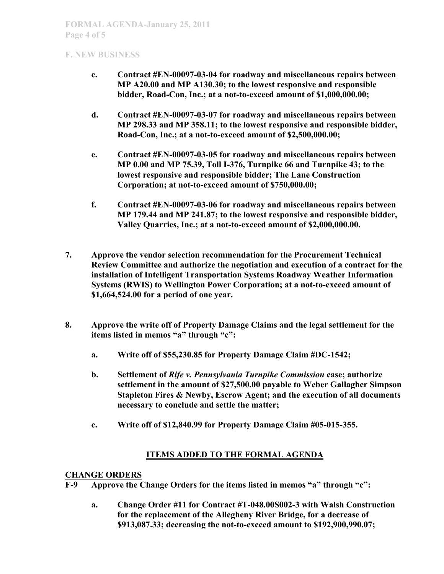- **c. Contract #EN-00097-03-04 for roadway and miscellaneous repairs between MP A20.00 and MP A130.30; to the lowest responsive and responsible bidder, Road-Con, Inc.; at a not-to-exceed amount of \$1,000,000.00;**
- **d. Contract #EN-00097-03-07 for roadway and miscellaneous repairs between MP 298.33 and MP 358.11; to the lowest responsive and responsible bidder, Road-Con, Inc.; at a not-to-exceed amount of \$2,500,000.00;**
- **e. Contract #EN-00097-03-05 for roadway and miscellaneous repairs between MP 0.00 and MP 75.39, Toll I-376, Turnpike 66 and Turnpike 43; to the lowest responsive and responsible bidder; The Lane Construction Corporation; at not-to-exceed amount of \$750,000.00;**
- **f. Contract #EN-00097-03-06 for roadway and miscellaneous repairs between MP 179.44 and MP 241.87; to the lowest responsive and responsible bidder, Valley Quarries, Inc.; at a not-to-exceed amount of \$2,000,000.00.**
- **7. Approve the vendor selection recommendation for the Procurement Technical Review Committee and authorize the negotiation and execution of a contract for the installation of Intelligent Transportation Systems Roadway Weather Information Systems (RWIS) to Wellington Power Corporation; at a not-to-exceed amount of \$1,664,524.00 for a period of one year.**
- **8. Approve the write off of Property Damage Claims and the legal settlement for the items listed in memos "a" through "c":**
	- **a. Write off of \$55,230.85 for Property Damage Claim #DC-1542;**
	- **b. Settlement of** *Rife v. Pennsylvania Turnpike Commission* **case; authorize settlement in the amount of \$27,500.00 payable to Weber Gallagher Simpson Stapleton Fires & Newby, Escrow Agent; and the execution of all documents necessary to conclude and settle the matter;**
	- **c. Write off of \$12,840.99 for Property Damage Claim #05-015-355.**

# **ITEMS ADDED TO THE FORMAL AGENDA**

### **CHANGE ORDERS**

- **F-9 Approve the Change Orders for the items listed in memos "a" through "c":**
	- **a. Change Order #11 for Contract #T-048.00S002-3 with Walsh Construction for the replacement of the Allegheny River Bridge, for a decrease of \$913,087.33; decreasing the not-to-exceed amount to \$192,900,990.07;**